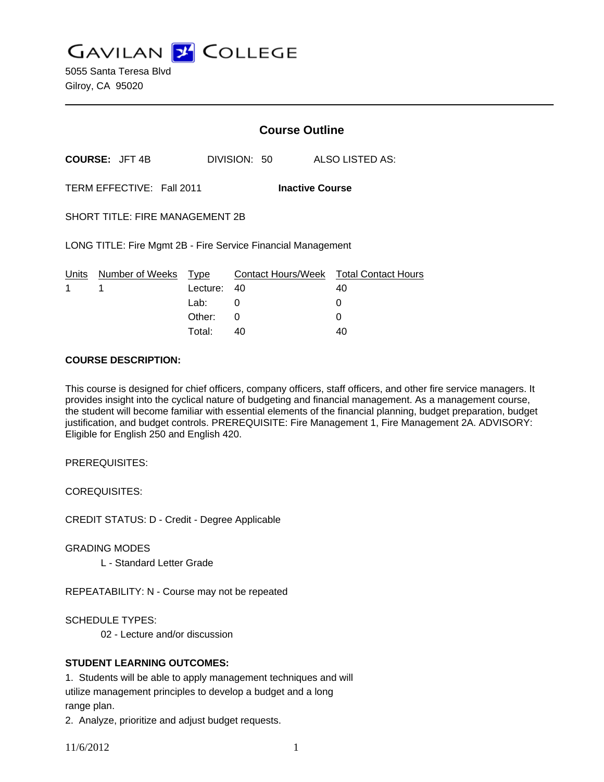**GAVILAN Z COLLEGE** 

5055 Santa Teresa Blvd Gilroy, CA 95020

|                                                              |                                 |             | <b>Course Outline</b> |                                              |  |
|--------------------------------------------------------------|---------------------------------|-------------|-----------------------|----------------------------------------------|--|
|                                                              | <b>COURSE: JFT 4B</b>           |             | DIVISION: 50          | ALSO LISTED AS:                              |  |
| TERM EFFECTIVE: Fall 2011<br><b>Inactive Course</b>          |                                 |             |                       |                                              |  |
| <b>SHORT TITLE: FIRE MANAGEMENT 2B</b>                       |                                 |             |                       |                                              |  |
| LONG TITLE: Fire Mgmt 2B - Fire Service Financial Management |                                 |             |                       |                                              |  |
| 1                                                            | Units Number of Weeks Type<br>1 | Lecture: 40 |                       | Contact Hours/Week Total Contact Hours<br>40 |  |
|                                                              |                                 | Lab: ___    | 0                     | O                                            |  |
|                                                              |                                 | Other:      | $\Omega$              | O                                            |  |
|                                                              |                                 | Total:      | 40                    | 40                                           |  |

#### **COURSE DESCRIPTION:**

This course is designed for chief officers, company officers, staff officers, and other fire service managers. It provides insight into the cyclical nature of budgeting and financial management. As a management course, the student will become familiar with essential elements of the financial planning, budget preparation, budget justification, and budget controls. PREREQUISITE: Fire Management 1, Fire Management 2A. ADVISORY: Eligible for English 250 and English 420.

PREREQUISITES:

COREQUISITES:

CREDIT STATUS: D - Credit - Degree Applicable

GRADING MODES

L - Standard Letter Grade

REPEATABILITY: N - Course may not be repeated

SCHEDULE TYPES:

02 - Lecture and/or discussion

## **STUDENT LEARNING OUTCOMES:**

1. Students will be able to apply management techniques and will utilize management principles to develop a budget and a long range plan.

2. Analyze, prioritize and adjust budget requests.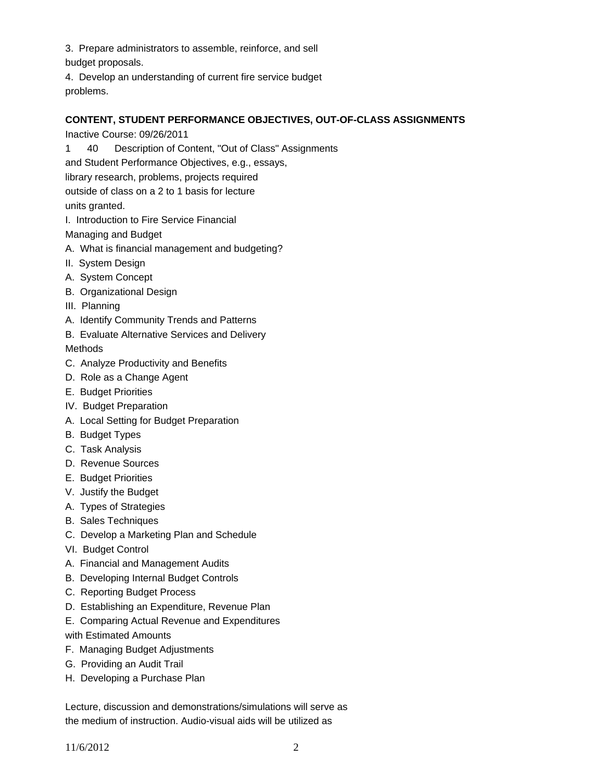3. Prepare administrators to assemble, reinforce, and sell budget proposals.

4. Develop an understanding of current fire service budget problems.

# **CONTENT, STUDENT PERFORMANCE OBJECTIVES, OUT-OF-CLASS ASSIGNMENTS**

Inactive Course: 09/26/2011

1 40 Description of Content, "Out of Class" Assignments

and Student Performance Objectives, e.g., essays,

library research, problems, projects required

outside of class on a 2 to 1 basis for lecture

units granted.

I. Introduction to Fire Service Financial

Managing and Budget

- A. What is financial management and budgeting?
- II. System Design
- A. System Concept
- B. Organizational Design
- III. Planning
- A. Identify Community Trends and Patterns
- B. Evaluate Alternative Services and Delivery

**Methods** 

- C. Analyze Productivity and Benefits
- D. Role as a Change Agent
- E. Budget Priorities
- IV. Budget Preparation
- A. Local Setting for Budget Preparation
- B. Budget Types
- C. Task Analysis
- D. Revenue Sources
- E. Budget Priorities
- V. Justify the Budget
- A. Types of Strategies
- B. Sales Techniques
- C. Develop a Marketing Plan and Schedule
- VI. Budget Control
- A. Financial and Management Audits
- B. Developing Internal Budget Controls
- C. Reporting Budget Process
- D. Establishing an Expenditure, Revenue Plan
- E. Comparing Actual Revenue and Expenditures

with Estimated Amounts

- F. Managing Budget Adjustments
- G. Providing an Audit Trail
- H. Developing a Purchase Plan

Lecture, discussion and demonstrations/simulations will serve as the medium of instruction. Audio-visual aids will be utilized as